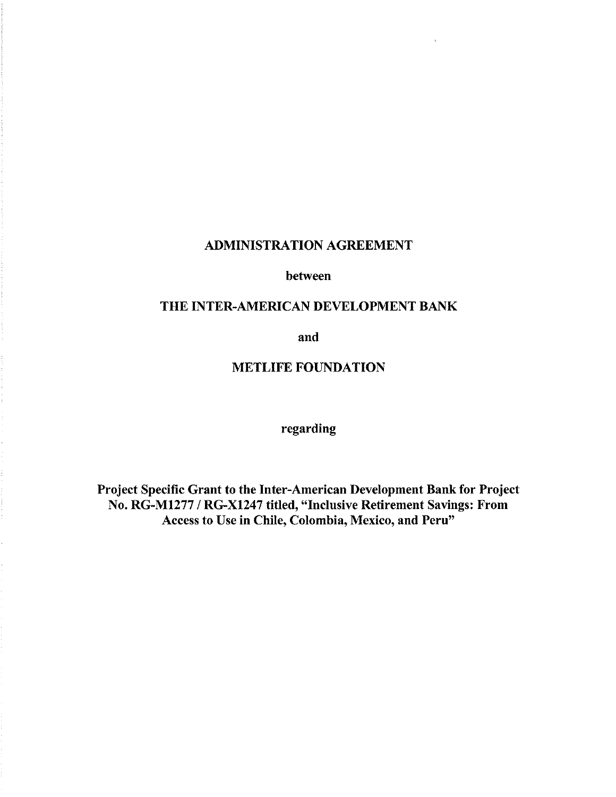# ADMINISTRATION AGREEMENT

between

# THE INTER-AMERICAN DEVELOPMENT BANK

and

# METLIFE FOUNDATION

regarding

Project Specific Grant to the Inter-American Development Bank for Project No. RG-M1277 *I* RG-X1247 titled, "Inclusive Retirement Savings: From Access to Use in Chile, Colombia, Mexico, and Peru"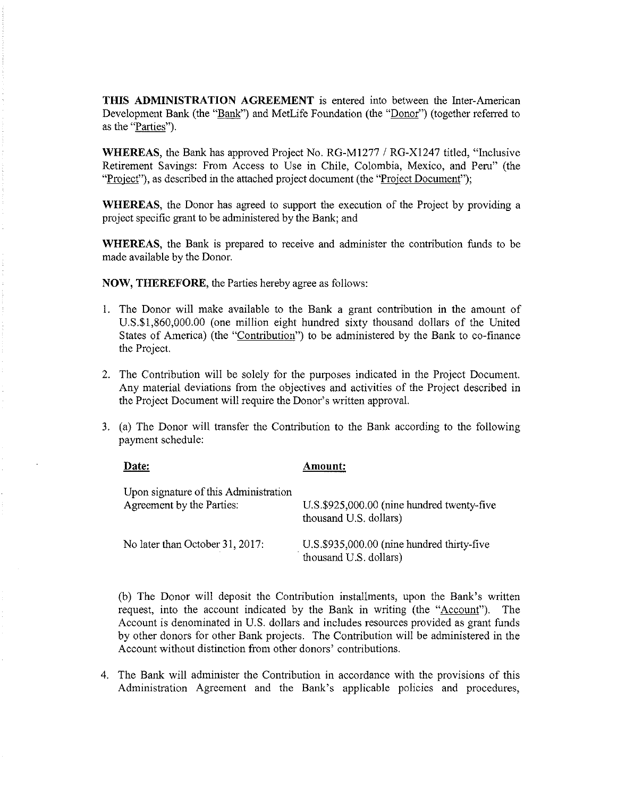**THIS ADMINISTRATION AGREEMENT** is entered into between the Inter-American Development Bank (the "Bank") and MetLife Foundation (the "Donor") (together referred to as the "Parties").

**WHEREAS,** the Bank has approved Project No. RG-Ml277 *I* RG-Xl247 titled, "Inclusive Retirement Savings: From Access to Use in Chile, Colombia, Mexico, and Peru" (the "Project"), as described in the attached project document (the "Project Document");

**WHEREAS,** the Donor has agreed to support the execution of the Project by providing a project specific grant to be administered by the Bank; and

**WHEREAS,** the Bank is prepared to receive and administer the contribution funds to be made available by the Donor.

**NOW, THEREFORE,** the Parties hereby agree as follows:

- I. The Donor will make available to the Bank a grant contribution in the amount of U.S.\$1,860,000.00 (one million eight hundred sixty thousand dollars of the United States of America) (the "Contribution") to be administered by the Bank to co-finance the Project.
- 2. The Contribution will be solely for the purposes indicated in the Project Document. Any material deviations from the objectives and activities of the Project described in the Project Document will require the Donor's written approval.
- 3. (a) The Donor will transfer the Contribution to the Bank according to the following payment schedule:

| Date:                                                              | Amount:                                                              |
|--------------------------------------------------------------------|----------------------------------------------------------------------|
| Upon signature of this Administration<br>Agreement by the Parties: | U.S.\$925,000.00 (nine hundred twenty-five<br>thousand U.S. dollars) |
| No later than October 31, 2017:                                    | U.S.\$935,000.00 (nine hundred thirty-five<br>thousand U.S. dollars) |

(b) The Donor will deposit the Contribution installments, upon the Bank's written request, into the account indicated by the Bank in writing (the "Account"). The Account is denominated in U.S. dollars and includes resources provided as grant funds by other donors for other Bank projects. The Contribution will be administered in the Account without distinction from other donors' contributions.

4. The Bank will administer the Contribution in accordance with the provisions of this Administration Agreement and the Bank's applicable policies and procedures,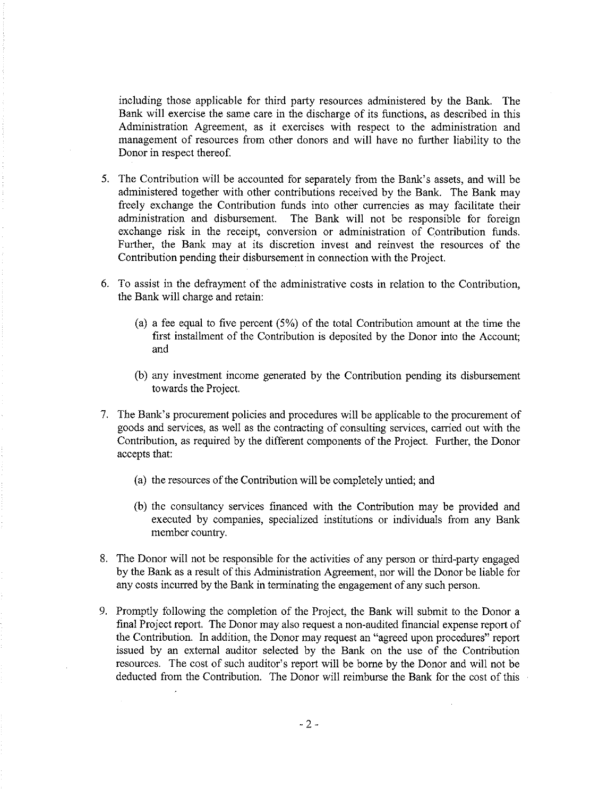including those applicable for third party resources administered by the Bank. The Bank will exercise the same care in the discharge of its functions, as described in this Administration Agreement, as it exercises with respect to the administration and management of resources from other donors and will have no further liability to the Donor in respect thereof.

- 5. The Contribution will be accounted for separately from the Bank's assets, and will be administered together with other contributions received by the Bank. The Bank may freely exchange the Contribution funds into other currencies as may facilitate their administration and disbursement. The Bank will not be responsible for foreign The Bank will not be responsible for foreign exchange risk in the receipt, conversion or administration of Contribution funds. Further, the Bank may at its discretion invest and reinvest the resources of the Contribution pending their disbursement in connection with the Project.
- 6. To assist in the defrayment of the administrative costs in relation to the Contribution, the Bank will charge and retain:
	- (a) a fee equal to five percent (5%) of the total Contribution amount at the time the first instalhnent of the Contribution is deposited by the Donor into the Account; and
	- (b) any investment income generated by the Contribution pending its disbursement towards the Project.
- 7. The Bank's procurement policies and procedures will be applicable to the procurement of goods and services, as well as the contracting of consulting services, carried out with the Contribution, as required by the different components of the Project. Further, the Donor accepts that:
	- (a) the resources of the Contribution will be completely untied; and
	- (b) the consultancy services financed with the Contribution may be provided and executed by companies, specialized institutions or individuals from any Bank member country.
- 8. The Donor will not be responsible for the activities of any person or third-party engaged by the Bank as a result of this Administration Agreement, nor will the Donor be liable for any costs incurred by the Bank in terminating the engagement of any such person.
- 9. Promptly following the completion of the Project, the Bank will submit to the Donor a final Project report. The Donor may also request a non-audited fmancial expense report of the Contribution. In addition, the Donor may request an "agreed upon procedures" report issued by an external auditor selected by the Bank on the use of the Contribution resources. The cost of such auditor's report will be borne by the Donor and will not be deducted from the Contribution. The Donor will reimburse the Bank for the cost of this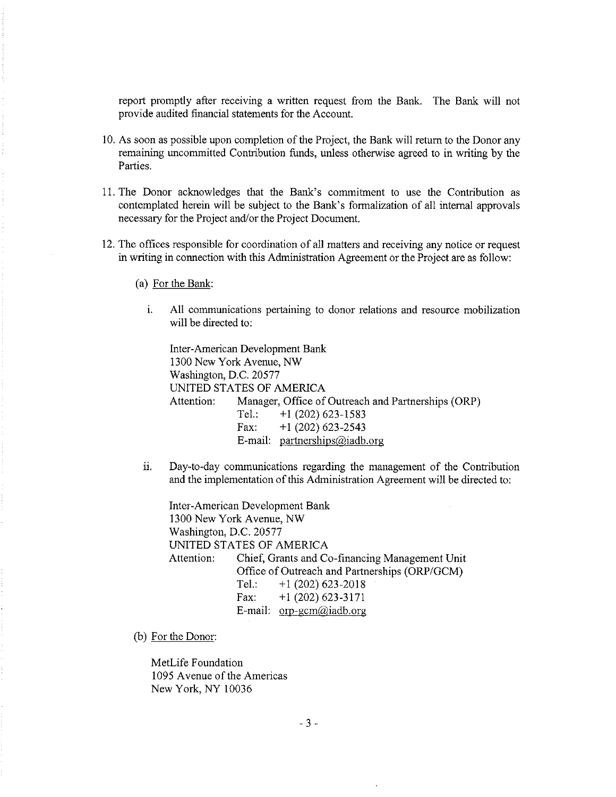report promptly after receiving a written request from the Bank. The Bank will not provide audited financial statements for the Account.

- 10. As soon as possible upon completion of the Project, the Bank will return to the Donor any remaining uncommitted Contribution funds, unless otherwise agreed to in writing by the Parties.
- II. The Donor acknowledges that the Bank's commitment to use the Contribution as contemplated herein will be subject to the Bank's formalization of all internal approvals necessary for the Project and/or the Project Document.
- 12. The offices responsible for coordination of all matters and receiving any notice or request in writing in connection with this Administration Agreement or the Project are as follow:
	- (a) For the Bank:
		- 1. All communications pertaining to donor relations and resource mobilization will be directed to:

Inter-American Development Bank 1300 New York Avenue, NW Washington, D.C. 20577 UNITED STATES OF AMERICA Attention: Manager, Office of Outreach and Partnerships (ORP) Tel.:  $+1$  (202) 623-1583 Fax:  $+1$  (202) 623-2543 E-mail: partnerships@iadb.org

ii. Day-to-day communications regarding the management of the Contribution and the implementation of this Administration Agreement will be directed to:

Inter-American Development Bank 1300 New York Avenue, NW Washington, D.C. 20577 UNITED STATES OF AMERICA Attention: Chief, Grants and Co-financing Management Unit Office of Outreach and Partnerships (ORP/GCM) Tel.:  $+1(202)$  623-2018 Fax:  $+1$  (202) 623-3171 E-mail:  $\text{orp-germ@iadb.org}$ 

(b) For the Donor:

MetLife Foundation 1095 Avenue of the Americas New York, NY 10036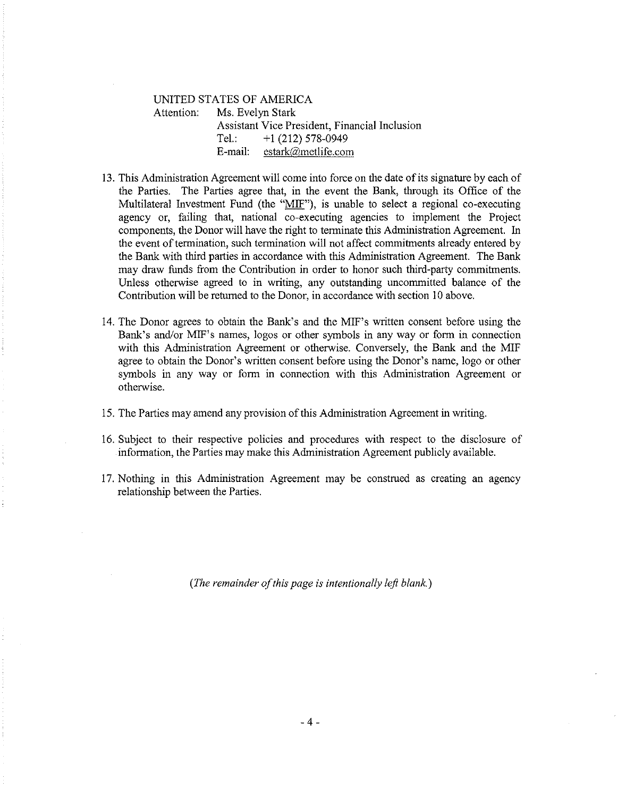# UNITED STATES OF AMERICA Attention: Ms. Evelyn Stark Assistant Vice President, Financial Inclusion Tel.:  $+1$  (212) 578-0949 E-mail: estark@metlife.com

- 13. This Administration Agreement will come into force on the date of its signature by each of the Parties. The Parties agree that, in the event the Bank, through its Office of the Multilateral Investment Fund (the "MIF"), is unable to select a regional co-executing agency or, failing that, national co-executing agencies to implement the Project components, the Donor will have the right to terminate this Administration Agreement. In the event of termination, such termination will not affect commitments already entered by the Bank with third parties in accordance with this Administration Agreement. The Bank may draw funds from the Contribution in order to honor such third-party commitments. Unless otherwise agreed to in writing, any outstanding uncommitted balance of the Contribution will be returned to the Donor, in accordance with section 10 above.
- 14. The Donor agrees to obtain the Bank's and the MIF's written consent before using the Bank's and/or MIF's names, logos or other symbols in any way or form in connection with this Administration Agreement or otherwise. Conversely, the Bank and the MIF agree to obtain the Donor's written consent before using the Donor's name, logo or other symbols in any way or form in connection with this Administration Agreement or otherwise.
- 15. The Parties may amend any provision of this Administration Agreement in writing.
- 16. Subject to their respective policies and procedures with respect to the disclosure of information, the Parties may make this Administration Agreement publicly available.
- 17. Nothing in this Administration Agreement may be construed as creating an agency relationship between the Parties.

*(The remainder of this page is intentionally lefl blank.)*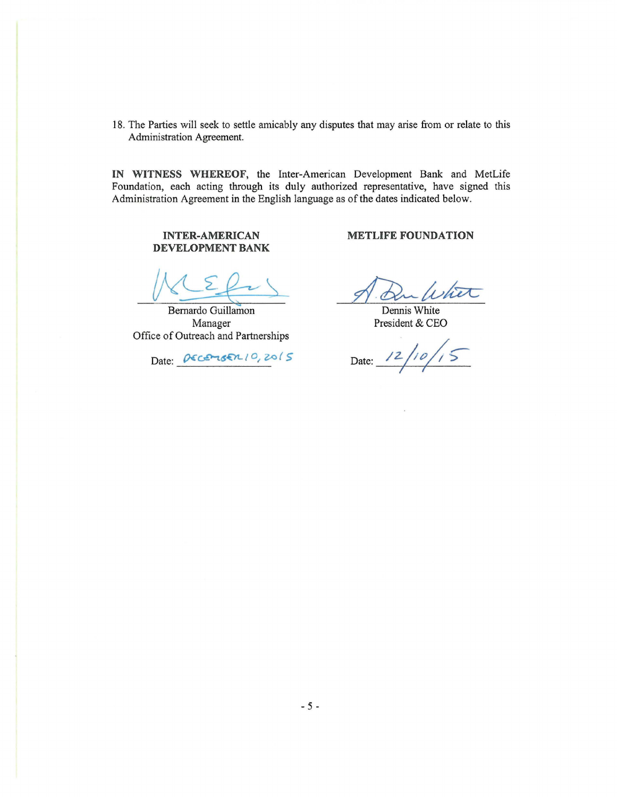18. The Parties will seek to settle amicably any disputes that may arise from or relate to this Administration Agreement.

IN WITNESS WHEREOF, the Inter-American Development Bank and MetLife Foundation, each acting through its duly authorized representative, have signed this Administration Agreement in the English language as of the dates indicated below.

## **INTER-AMERICAN** DEVELOPMENT BANK

Bernardo Guillamon Manager Office of Outreach and Partnerships

Date: DECEMBER 10, 2015

**METLIFE FOUNDATION** 

Dennis White President & CEO

Date:  $12/10/15$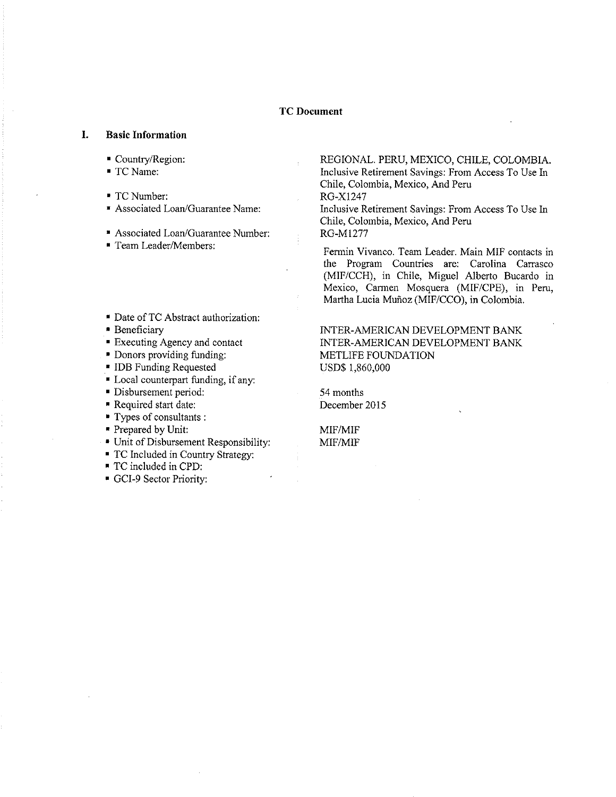## **TC** Document

#### **I. Basic Information**

- Country/Region:
- TCName:
- TCNumber:
- Associated Loan/Guarantee Name:
- Associated Loan/Guarantee Number:
- Team Leader/Members:
- Date ofTC Abstract authorization:
- Beneficiary
- Executing Agency and contact
- Donors providing funding:
- !DB Funding Requested
- Local counterpart funding, if any:
- Disbursement period:
- Required start date:
- Types of consultants :
- Prepared by Unit:
- Unit of Disbursement Responsibility:
- TC Included in Country Strategy:
- TC included in CPD:
- GCI-9 Sector Priority:

REGIONAL. PERU, MEXICO, CHILE, COLOMBIA. Inclusive Retirement Savings: From Access To Use In Chile, Colombia, Mexico, And Peru RG-X1247 Inclusive Retirement Savings: From Access To Use In

Chile, Colombia, Mexico, And Peru RG-M1277

Fennin Vivanco. Team Leader. Main MIF contacts in the Program Countries are: Carolina Carrasco (MIF/CCH), in Chile, Miguel Alberto Bucardo in Mexico, Carmen Mosquera (MIF/CPE), in Peru, Martha Lucia Munoz (MIF/CCO), in Colombia.

INTER-AMERICAN DEVELOPMENT BANK INTER-AMERICAN DEVELOPMENT BANK METLIFE FOUNDATION USD\$ 1,860,000

54 months December 2015

MIF/MIF MIF/MIF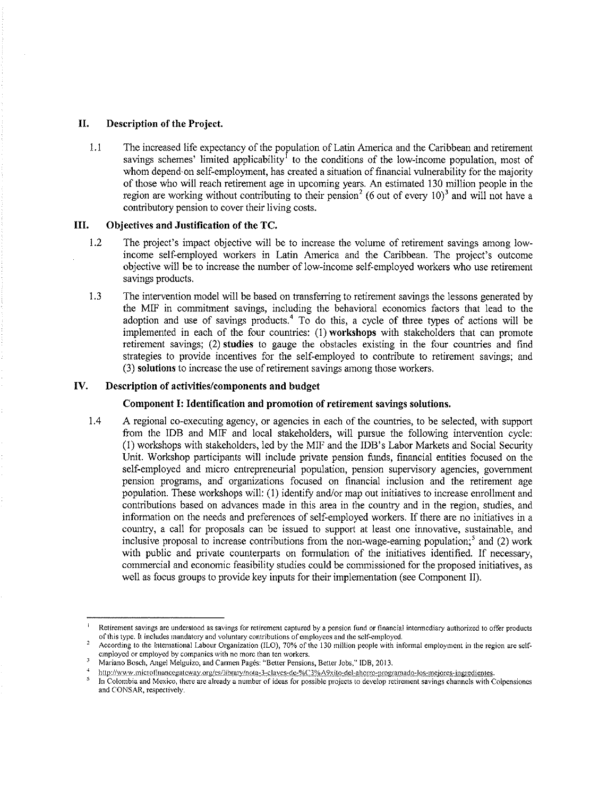#### **II. Description of the Project.**

1.1 The increased life expectancy of the population of Latin America and the Caribbean and retirement savings schemes' limited applicability<sup>1</sup> to the conditions of the low-income population, most of whom depend·on self-employment, has created a situation of financial vulnerability for the majority of those who will reach retirement age in upcoming years. An estimated 130 million people in the region are working without contributing to their pension<sup>2</sup> (6 out of every 10)<sup>3</sup> and will not have a contributory pension to cover their living costs.

#### **III. Objectives and Justification of the TC.**

- L2 The project's impact objective will be to increase the volume of retirement savings among lowincome self-employed workers in Latin America and the Caribbean. The project's outcome objective will be to increase the number of low-income self-employed workers who use retirement savings products.
- 1 .3 The intervention model will be based on transferring to retirement savings the lessons generated by the MIF in commitment savings, including the behavioral economics factors that lead to the adoption and use of savings products.<sup>4</sup> To do this, a cycle of three types of actions will be implemented in each of the four countries: ( 1) **workshops** with stakeholders that can promote retirement savings; (2) **studies** to gauge the obstacles existing in the four countries and find strategies to provide incentives for the self-employed to contribute to retirement savings; and (3) **solutions** to increase the use of retirement savings among those workers.

#### **IV. Description of activities/components and budget**

#### **Component I: Identification and promotion of retirement savings solutions.**

1.4 A regional co-executing agency, or agencies in each of the countries, to be selected, with support from the !DB and MIF and local stakeholders, will pursue the following intervention cycle: (!)workshops with stakeholders, led by the MIF and the !DB's Labor Markets and Social Security Unit Workshop participants will include private pension funds, financial entities focused on the self-employed and micro entrepreneurial population, pension supervisory agencies, government pension programs, and· organizations focused on financial inclusion and the retirement age population. These workshops will: (1) identify and/or map out initiatives to increase enrollment and contributions based on advances made in this area in the country and in the region, studies, and information on the needs and preferences of self-employed workers. If there are no initiatives in a country, a call for proposals can be issued to support at least one innovative, sustainable, and inclusive proposal to increase contributions from the non-wage-earning population;<sup>5</sup> and (2) work with public and private counterparts on formulation of the initiatives identified. If necessary, commercial and economic feasibility studies could be commissioned for the proposed initiatives, as well as focus groups to provide key inputs for their implementation (see Component II).

<sup>1</sup>**Retirement savings arc understood as savings for retirement captured by a pension fund or financial intennediary authorized to offer products of this type. It includes mandatory and voluntary contributions of employees and the** self~crnploycd.

**According to the International Labour Organization (fLO), 70% of the 130 million people with infonnal employment in the region are selfemployed or employed by companies with no more than ten workers.**   $\overline{\overline{3}}$ 

Mariano Bosch, Angel Melguizo, and Carmen Pagés: "Better Pensions, Better Jobs," IDB, 2013.

<sup>4</sup> http://www.microfinancegateway.org/cs/library/nota-3-claves-de-%C3%A9xito-del-ahorro-programado-los-mejores-ingredientes.<br>In Colombia and Mexico, there are already a number of ideas for possible projects to develop retirem

**and CONSAR, respectively.**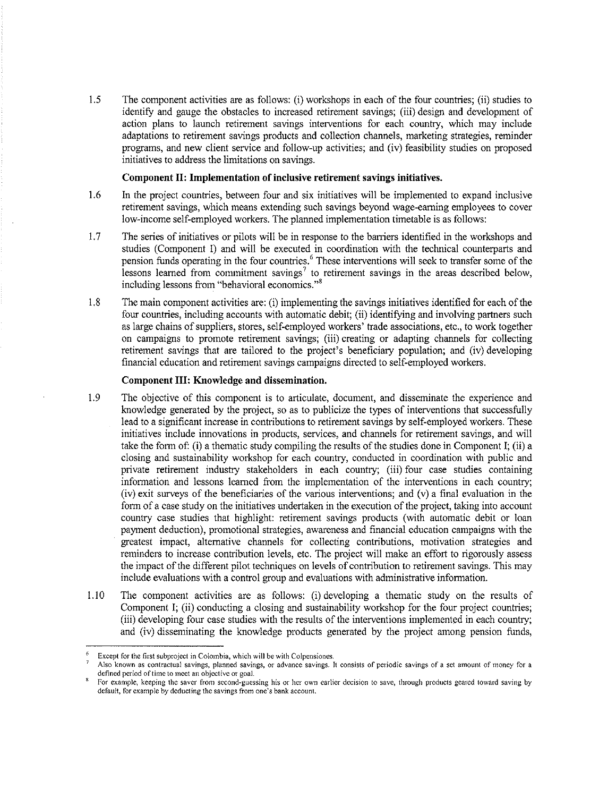1.5 The component activities are as follows: (i) workshops in each of the four countries; (ii) studies to identifY and gauge the obstacles to increased retirement savings; (iii) design and development of action plans to launch retirement savings interventions for each country, which may include adaptations to retirement savings products and collection channels, marketing strategies, reminder programs, and new client service and follow-up activities; and (iv) feasibility studies on proposed initiatives to address the limitations on savings.

#### **Component II: Implementation of inclusive retirement savings initiatives.**

- 1.6 In the project countries, between four and six initiatives will be implemented to expand inclusive retirement savings, which means extending such savings beyond wage-earning employees to cover low-income self-employed workers. The planned implementation timetable is as follows:
- 1.7 The series of initiatives or pilots will be in response to the barriers identified in the workshops and studies (Component I) and will be executed in coordination with the technical counterparts and pension funds operating in the four countries. 6 These interventions will seek to transfer some of the lessons learned from commitment savings<sup>7</sup> to retirement savings in the areas described below, **including lessons from "behavioral economics.** "<sup>8</sup>
- 1.8 The main component activities are: (i) implementing the savings initiatives identified for each of the four countries, including accounts with automatic debit; (ii) identifying and involving partners such as large chains of suppliers, stores, self-employed workers' trade associations, etc., to work together on campaigns to promote retirement savings; (iii) creating or adapting channels for collecting retirement savings that are tailored to the project's beneficiary population; and (iv) developing financial education and retirement savings campaigns directed to self-employed workers.

#### **Component III: Knowledge and dissemination.**

- 1.9 The objective of this component is to articulate, document, and disseminate the experience and knowledge generated by the project, so as to publicize the types of interventions that successfully lead to a significant increase in contributions to retirement savings by self-employed workers. These initiatives include innovations in products, services, and channels for retirement savings, and will take the form of: (i) a thematic study compiling the results of the studies done in Component I; (ii) a closing and sustainability workshop for each country, conducted in coordination with public and private retirement industry stakeholders in each country; (iii) four case studies containing infonnation and lessons learned from the implementation of the interventions in each country; (iv) exit surveys of the beneficiaries of the various interventions; and (v) a final evaluation in the form of a case study on the initiatives undertaken in the execution of the project, taking into account country case studies that highlight: retirement savings products (with automatic debit or loan payment deduction), promotional strategies, awareness and financial education campaigns with the greatest impact, alternative channels for collecting contributions, motivation strategies and reminders to increase contribution levels, etc. The project will make an effort to rigorously assess the impact of the different pilot techniques on levels of contribution to retirement savings. This may include evaluations with a control group and evaluations with administrative infonnation.
- 1.10 The component activities are as follows: (i) developing a thematic study on the results of Component I; (ii) conducting a closing and sustainability workshop for the four project countries; (iii) developing four case studies with the results of the interventions implemented in each country; and (iv) disseminating the knowledge products generated by the project among pension funds,

f. **Except for the first subproject in Colombia, which will be with Colpensiones.** 

<sup>7</sup>**Also known as contractual savings, planned savings, or advance savings. It consists of periodic savings of a set amount of money for a** 

For example, keeping the saver from second-guessing his or her own earlier decision to save, through products geared toward saving by **default, for example by deducting the savings from one's bank account.**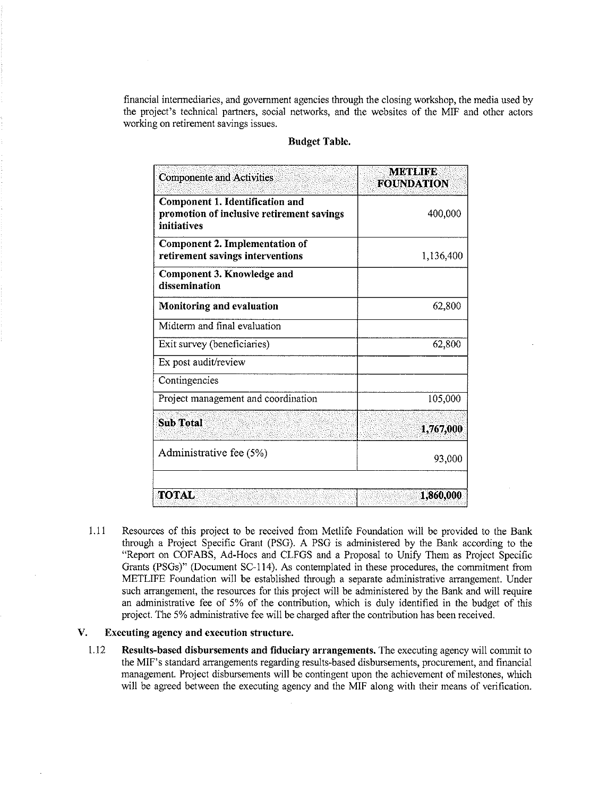financial intermediaries, and government agencies through the closing workshop, the media used by the project's technical partners, social networks, and the websites of the MIF and other actors working on retirement savings issues.

| <b>Componente and Activities</b>                                                            | <b>METLIFE</b><br><b>FOUNDATION</b> |
|---------------------------------------------------------------------------------------------|-------------------------------------|
| Component 1. Identification and<br>promotion of inclusive retirement savings<br>initiatives | 400,000                             |
| Component 2. Implementation of<br>retirement savings interventions                          | 1,136,400                           |
| Component 3. Knowledge and<br>dissemination                                                 |                                     |
| <b>Monitoring and evaluation</b>                                                            | 62,800                              |
| Midterm and final evaluation                                                                |                                     |
| Exit survey (beneficiaries)                                                                 | 62,800                              |
| Ex post audit/review                                                                        |                                     |
| Contingencies                                                                               |                                     |
| Project management and coordination                                                         | 105,000                             |
| <b>Sub Total</b>                                                                            | 1,767,000                           |
| Administrative fee (5%)                                                                     | 93,000                              |
|                                                                                             |                                     |
| <b>TOTAL</b>                                                                                | 1,860,000                           |

#### Budget Table.

1.11 Resources of this project to be received from Metlife Foundation will be provided to the Bank through a Project Specific Grant (PSG). A PSG is administered by the Bank according to the "Report on COFABS, Ad-Hocs and CLFGS and a Proposal to Unify Them as Project Specific Grants (PSGs)" (Document SC-114). As contemplated in these procedures, the commitment from METLIFE Foundation will be established through a separate administrative arrangement. Under such arrangement, the resources for this project will be administered by the Bank and will require an administrative fee of 5% of the contribution, which is duly identified in the budget of this project. The 5% administrative fee will be charged after the contribution has been received.

## V. Executing agency and execution structure.

1.12 Results-based disbursements and fiduciary arrangements. The executing agency will commit to the MIF's standard arrangements regarding results-based disbursements, procurement, and financial management. Project disbursements will be contingent upon the achievement of milestones, which will be agreed between the executing agency and the MIF along with their means of verification.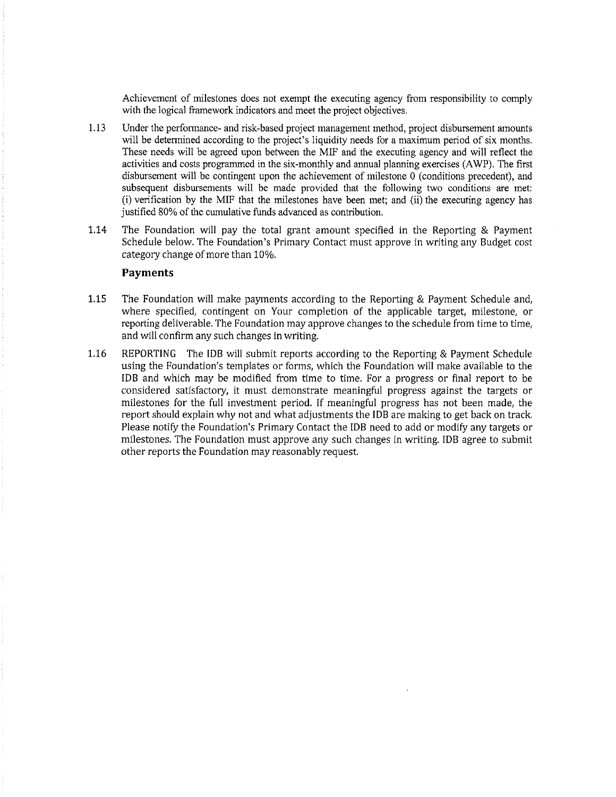Achievement of milestones does not exempt the executing agency from responsibility to comply with the logical framework indicators and meet the project objectives.

- 1.13 Under the performance- and Iisk-based project management method, project disbursement amounts will be determined according to the project's liquidity needs for a maximum period of six months. These needs will be agreed upon between the MIF and the executing agency and will reflect the activities and costs programmed in the six-monthly and annual planning exercises (AWP). The first disbursement will be contingent upon the achievement of milestone 0 (conditions precedent), and subsequent disbursements will be made provided that the following two conditions are met:  $(i)$  verification by the MIF that the milestones have been met; and  $(ii)$  the executing agency has justified 80% of the cumulative funds advanced as contribution.
- 1.14 The Foundation will pay the total grant amount specified in the Reporting & Payment Schedule below. The Foundation's Primary Contact must approve in writing any Budget cost category change of more than 10%.

### **Payments**

- **1.15** The Foundation will make payments according to the Reporting & Payment Schedule and, where specified, contingent on Your completion of the applicable target, milestone, or reporting deliverable. The Foundation may approve changes to the schedule from time to time, and will confirm any such changes in writing.
- 1.16 REPORTING The !DB will submit reports according to the Reporting & Payment Schedule using the Foundation's templates or forms, which the Foundation will make available to the !DB and which may be modified from time to time. For a progress or final report to be considered satisfactory, it must demonstrate meaningful progress against the targets or milestones for the full investment period. If meaningful progress has not been made, the report should explain why not and what adjustments the !DB are making to get back on track. Please notify the Foundation's Primary Contact the !DB need to add or modify any targets or milestones. The Foundation must approve any such changes in writing. !DB agree to submit other reports the Foundation may reasonably request.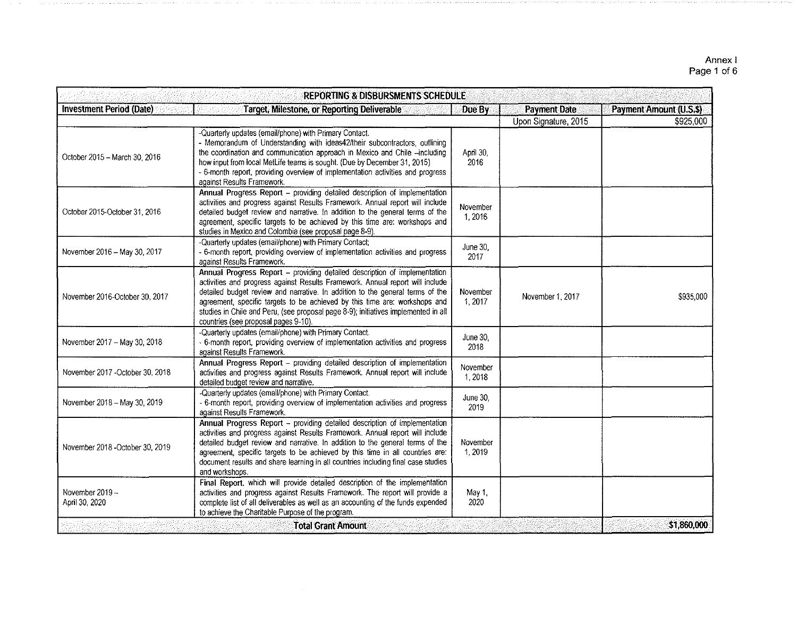#### Annex I Page 1 of6

|                                   | <b>REPORTING &amp; DISBURSMENTS SCHEDULE</b>                                                                                                                                                                                                                                                                                                                                                                                                            |                    |                      |                         |
|-----------------------------------|---------------------------------------------------------------------------------------------------------------------------------------------------------------------------------------------------------------------------------------------------------------------------------------------------------------------------------------------------------------------------------------------------------------------------------------------------------|--------------------|----------------------|-------------------------|
| <b>Investment Period (Date)</b>   | <b>Target, Milestone, or Reporting Deliverable</b>                                                                                                                                                                                                                                                                                                                                                                                                      | Due By             | <b>Payment Date</b>  | Payment Amount (U.S.\$) |
|                                   |                                                                                                                                                                                                                                                                                                                                                                                                                                                         |                    | Upon Signature, 2015 | \$925,000               |
| October 2015 - March 30, 2016     | -Quarterly updates (email/phone) with Primary Contact.<br>- Memorandum of Understanding with ideas42/their subcontractors, outlining<br>the coordination and communication approach in Mexico and Chile -including<br>how input from local MetLife teams is sought. (Due by December 31, 2015)<br>- 6-month report, providing overview of implementation activities and progress<br>against Results Framework.                                          | April 30,<br>2016  |                      |                         |
| October 2015-October 31, 2016     | Annual Progress Report - providing detailed description of implementation<br>activities and progress against Results Framework. Annual report will include<br>detailed budget review and narrative. In addition to the general terms of the<br>agreement, specific targets to be achieved by this time are: workshops and<br>studies in Mexico and Colombia (see proposal page 8-9).                                                                    | November<br>1,2016 |                      |                         |
| November 2016 - May 30, 2017      | -Quarterly updates (email/phone) with Primary Contact;<br>- 6-month report, providing overview of implementation activities and progress<br>against Results Framework.                                                                                                                                                                                                                                                                                  | June 30,<br>2017   |                      |                         |
| November 2016-October 30, 2017    | Annual Progress Report - providing detailed description of implementation<br>activities and progress against Results Framework. Annual report will include<br>detailed budget review and narrative. In addition to the general terms of the<br>agreement, specific targets to be achieved by this time are: workshops and<br>studies in Chile and Peru, (see proposal page 8-9); initiatives implemented in all<br>countries (see proposal pages 9-10). | November<br>1,2017 | November 1, 2017     | \$935,000               |
| November 2017 - May 30, 2018      | -Quarterly updates (email/phone) with Primary Contact.<br>- 6-month report, providing overview of implementation activities and progress<br>against Results Framework.                                                                                                                                                                                                                                                                                  | June 30,<br>2018   |                      |                         |
| November 2017 - October 30, 2018  | Annual Progress Report - providing detailed description of implementation<br>activities and progress against Results Framework. Annual report will include<br>detailed budget review and narrative.                                                                                                                                                                                                                                                     | November<br>1,2018 |                      |                         |
| November 2018 - May 30, 2019      | -Quarterly updates (email/phone) with Primary Contact.<br>- 6-month report, providing overview of implementation activities and progress<br>against Results Framework.                                                                                                                                                                                                                                                                                  | June 30,<br>2019   |                      |                         |
| November 2018 - October 30, 2019  | Annual Progress Report - providing detailed description of implementation<br>activities and progress against Results Framework. Annual report will include<br>detailed budget review and narrative. In addition to the general terms of the<br>agreement, specific targets to be achieved by this time in all countries are:<br>document results and share learning in all countries including final case studies<br>and workshops.                     | November<br>1,2019 |                      |                         |
| November 2019 ~<br>April 30, 2020 | Final Report, which will provide detailed description of the implementation<br>activities and progress against Results Framework. The report will provide a<br>complete list of all deliverables as well as an accounting of the funds expended<br>to achieve the Charitable Purpose of the program.                                                                                                                                                    | May 1.<br>2020     |                      |                         |
|                                   | <b>Total Grant Amount</b>                                                                                                                                                                                                                                                                                                                                                                                                                               |                    |                      | \$1,860,000             |
|                                   |                                                                                                                                                                                                                                                                                                                                                                                                                                                         |                    |                      |                         |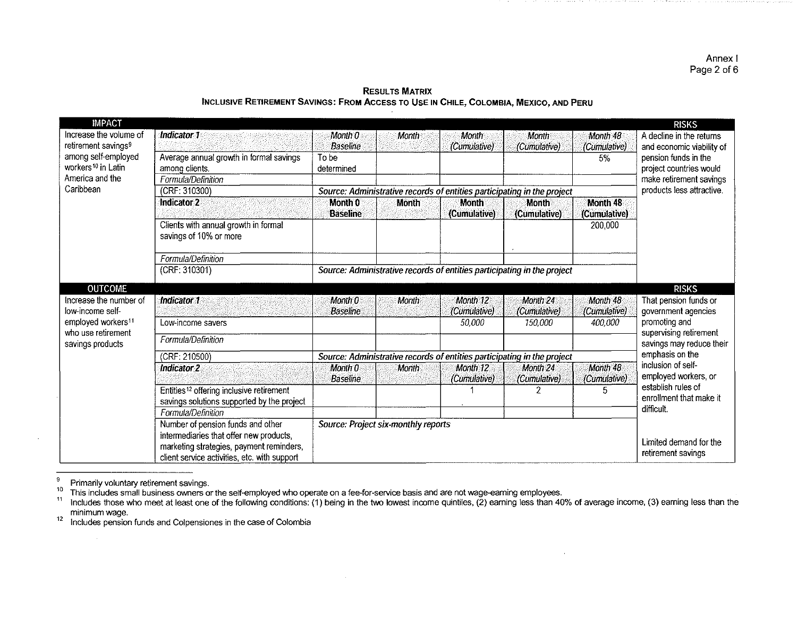Annex I Page 2 of 6

| <b>IMPACT</b>                   |                                                      |                                     |              |               |                                                                         |              | <b>RISKS</b>              |
|---------------------------------|------------------------------------------------------|-------------------------------------|--------------|---------------|-------------------------------------------------------------------------|--------------|---------------------------|
| Increase the volume of          | Indicator 1                                          | Month 0                             | Month        | Month         | Month                                                                   | Month 48     | A decline in the returns  |
| retirement savings <sup>9</sup> |                                                      | <b>Baseline</b>                     |              | (Cumulative)  | (Cumulative)                                                            | (Cumulative) | and economic viability of |
| among self-employed             | Average annual growth in formal savings              | To be                               |              |               |                                                                         | 5%           | pension funds in the      |
| workers <sup>10</sup> in Latin  | among clients.                                       | determined                          |              |               |                                                                         |              | project countries would   |
| America and the                 | Formula/Definition                                   |                                     |              |               |                                                                         |              | make retirement savings   |
| Caribbean                       | (CRF: 310300)                                        |                                     |              |               | Source: Administrative records of entities participating in the project |              | products less attractive. |
|                                 | <b>Indicator 2</b>                                   | Month 0                             | <b>Month</b> | Month         | <b>Month</b>                                                            | Month 48     |                           |
|                                 |                                                      | <b>Baseline</b>                     |              | (Cumulative)  | (Cumulative)                                                            | (Cumulative) |                           |
|                                 | Clients with annual growth in formal                 |                                     |              |               |                                                                         | 200,000      |                           |
|                                 | savings of 10% or more                               |                                     |              |               |                                                                         |              |                           |
|                                 |                                                      |                                     |              |               |                                                                         |              |                           |
|                                 | Formula/Definition                                   |                                     |              |               |                                                                         |              |                           |
|                                 | (CRF: 310301)                                        |                                     |              |               | Source: Administrative records of entities participating in the project |              |                           |
| <b>OUTCOME</b>                  |                                                      |                                     |              |               |                                                                         |              | <b>RISKS</b>              |
| Increase the number of          | Indicator 1                                          | Month 0                             | Month        | Month 12      | Month 24                                                                | Month 48     | That pension funds or     |
| low-income self-                |                                                      | <b>Baseline</b>                     |              | (Cumulative)  | (Cumulative)                                                            | (Cumulative) | government agencies       |
| employed workers <sup>11</sup>  | Low-income savers                                    |                                     |              | <i>50.000</i> | <i>150,000</i>                                                          | 400,000      | promoting and             |
| who use retirement              |                                                      |                                     |              |               |                                                                         |              | supervising retirement    |
| savings products                | Formula/Definition                                   |                                     |              |               |                                                                         |              | savings may reduce their  |
|                                 | (CRF: 210500)                                        |                                     |              |               | Source: Administrative records of entities participating in the project |              | emphasis on the           |
|                                 | Indicator 2                                          | Month 0                             | Month        | Month 12      | Month 24                                                                | Month 48     | inclusion of self-        |
|                                 |                                                      | <b>Baseline</b>                     |              | (Cumulative)  | (Cumulative)                                                            | (Cumulative) | employed workers, or      |
|                                 | Entities <sup>12</sup> offering inclusive retirement |                                     |              |               |                                                                         | 5            | establish rules of        |
|                                 | savings solutions supported by the project           |                                     |              |               |                                                                         |              | enrollment that make it   |
|                                 | Formula/Definition                                   |                                     |              |               |                                                                         |              | difficult.                |
|                                 | Number of pension funds and other                    | Source: Project six-monthly reports |              |               |                                                                         |              |                           |
|                                 | intermediaries that offer new products,              |                                     |              |               |                                                                         |              |                           |
|                                 | marketing strategies, payment reminders,             |                                     |              |               |                                                                         |              | Limited demand for the    |
|                                 | client service activities, etc. with support         |                                     |              |               |                                                                         |              | retirement savings        |

**RESULTS MATRIX** INCLUSIVE RETIREMENT SAVINGS: FROM ACCESS TO USE IN CHILE, COLOMBIA, MEXICO, AND PERU

 $12$ 

<sup>&</sup>lt;sup>9</sup> Primarily voluntary retirement savings.<br><sup>10</sup> This includes small business owners or the self-employed who operate on a fee-for-service basis and are not wage-earning employees.<br><sup>11</sup> Includes those who meet at least one minimum wage.<br>Includes pension funds and Colpensiones in the case of Colombia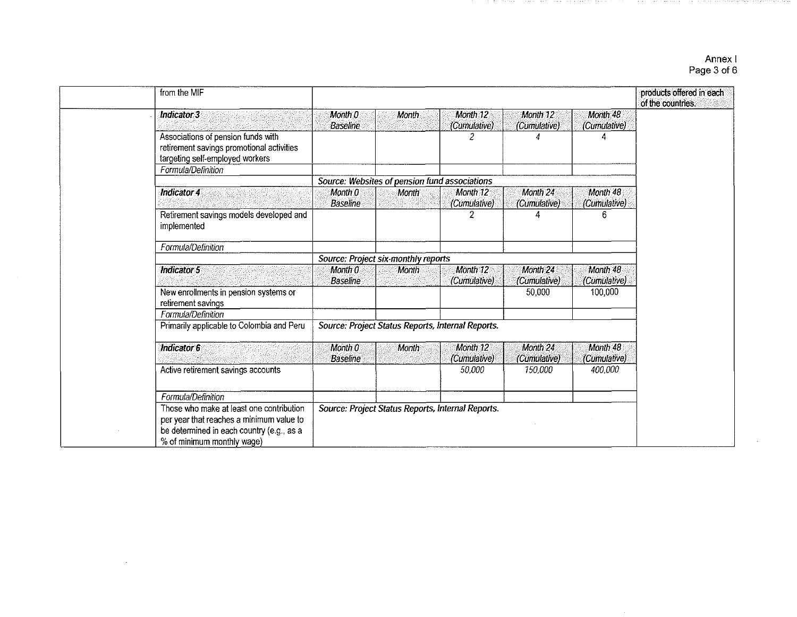## Annex I Page 3 of 6

 $\sim$ 

| from the MIF                                                                                                                                                    |                                       |                                                   |                                     |                          |                          | products offered in each<br>of the countries. |
|-----------------------------------------------------------------------------------------------------------------------------------------------------------------|---------------------------------------|---------------------------------------------------|-------------------------------------|--------------------------|--------------------------|-----------------------------------------------|
| Indicator 3                                                                                                                                                     | Month 0<br><b>Baseline</b>            | Month                                             | Month 12<br>(Cumulative)            | Month 12<br>(Cumulative) | Month 48<br>(Cumulative) |                                               |
| Associations of pension funds with<br>retirement savings promotional activities<br>targeting self-employed workers                                              |                                       |                                                   | 2                                   |                          |                          |                                               |
| Formula/Definition                                                                                                                                              |                                       |                                                   |                                     |                          |                          |                                               |
|                                                                                                                                                                 |                                       | Source: Websites of pension fund associations     |                                     |                          |                          |                                               |
| Indicator 4                                                                                                                                                     | Month 0<br><b>Baseline</b>            | <b>Month</b>                                      | Month 12<br>(Cumulative)            | Month 24<br>(Cumulative) | Month 48<br>(Cumulative) |                                               |
| Retirement savings models developed and<br>implemented                                                                                                          |                                       |                                                   |                                     |                          | 6.                       |                                               |
| Formula/Definition                                                                                                                                              |                                       |                                                   |                                     |                          |                          |                                               |
|                                                                                                                                                                 |                                       | Source: Project six-monthly reports               |                                     |                          |                          |                                               |
| Indicator 5                                                                                                                                                     | Month <sub>0</sub><br><b>Baseline</b> | Month                                             | Month 12<br>(Cumulative)            | Month 24<br>(Cumulative) | Month 48<br>(Cumulative) |                                               |
| New enrollments in pension systems or<br>retirement savings                                                                                                     |                                       |                                                   |                                     | 50,000                   | 100,000                  |                                               |
| Formula/Definition                                                                                                                                              |                                       |                                                   |                                     |                          |                          |                                               |
| Primarily applicable to Colombia and Peru                                                                                                                       |                                       | Source: Project Status Reports, Internal Reports. |                                     |                          |                          |                                               |
| <b>Indicator 6</b>                                                                                                                                              | Month 0<br><b>Baseline</b>            | Month                                             | Month <sub>12</sub><br>(Cumulative) | Month 24<br>(Cumulative) | Month 48<br>(Cumulative) |                                               |
| Active retirement savings accounts                                                                                                                              |                                       |                                                   | 50,000                              | 150,000                  | 400,000                  |                                               |
| Formula/Definition                                                                                                                                              |                                       |                                                   |                                     |                          |                          |                                               |
| Those who make at least one contribution<br>per year that reaches a minimum value to<br>be determined in each country (e.g., as a<br>% of minimum monthly wage) |                                       | Source: Project Status Reports, Internal Reports. |                                     |                          |                          |                                               |

 $\sim 10^6$ 

**Contract Contract Contract**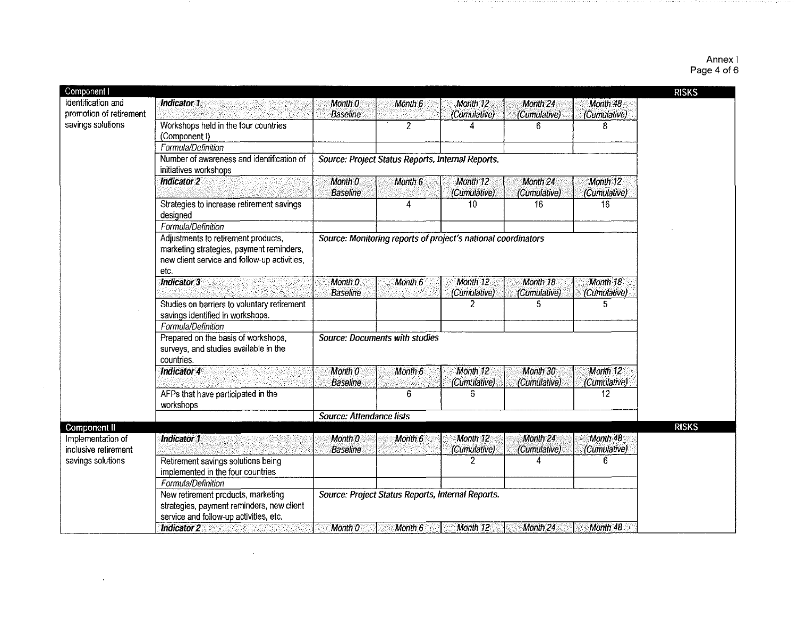#### Annex I Page 4 of 6

| Component I                               |                                                                                                                                         |                                                   |                |                                                               |                          |                          | <b>RISKS</b> |
|-------------------------------------------|-----------------------------------------------------------------------------------------------------------------------------------------|---------------------------------------------------|----------------|---------------------------------------------------------------|--------------------------|--------------------------|--------------|
| Identification and                        | <b>Indicator 1</b>                                                                                                                      | Month 0                                           | Month 6        | Month 12                                                      | Month 24                 | Month 48                 |              |
| promotion of retirement                   |                                                                                                                                         | <b>Baseline</b>                                   |                | (Cumulative)                                                  | (Cumulative)             | (Cumulative)             |              |
| savings solutions                         | Workshops held in the four countries<br>(Component I)                                                                                   |                                                   | $\overline{c}$ |                                                               | ĥ                        | 8                        |              |
|                                           | Formula/Definition                                                                                                                      |                                                   |                |                                                               |                          |                          |              |
|                                           | Number of awareness and identification of<br>initiatives workshops                                                                      | Source: Project Status Reports, Internal Reports. |                |                                                               |                          |                          |              |
|                                           | Indicator 2                                                                                                                             | Month 0<br><b>Baseline</b>                        | Month 6        | Month 12<br>(Cumulative)                                      | Month 24<br>(Cumulative) | Month 12<br>(Cumulative) |              |
|                                           | Strategies to increase retirement savings<br>designed                                                                                   |                                                   | 4              | $\overline{10}$                                               | 16                       | 16                       |              |
|                                           | Formula/Definition                                                                                                                      |                                                   |                |                                                               |                          |                          |              |
|                                           | Adjustments to retirement products,<br>marketing strategies, payment reminders,<br>new client service and follow-up activities,<br>etc. |                                                   |                | Source: Monitoring reports of project's national coordinators |                          |                          |              |
|                                           | <b>Indicator 3</b>                                                                                                                      | Month 0<br><b>Baseline</b>                        | Month 6        | Month 12<br>(Cumulative)                                      | Month 18<br>(Cumulative) | Month 18<br>(Cumulative) |              |
|                                           | Studies on barriers to voluntary retirement<br>savings identified in workshops.                                                         |                                                   |                | 2                                                             | 5                        | 5                        |              |
|                                           | Formula/Definition                                                                                                                      |                                                   |                |                                                               |                          |                          |              |
|                                           | Prepared on the basis of workshops,<br>surveys, and studies available in the<br>countries.                                              | Source: Documents with studies                    |                |                                                               |                          |                          |              |
|                                           | Indicator 4                                                                                                                             | Month 0<br><b>Baseline</b>                        | Month 6        | Month 12<br>(Cumulative)                                      | Month 30<br>(Cumulative) | Month 12<br>(Cumulative) |              |
|                                           | AFPs that have participated in the<br>workshops                                                                                         |                                                   | 6              | 6                                                             |                          | 12                       |              |
|                                           |                                                                                                                                         | Source: Attendance lists                          |                |                                                               |                          |                          |              |
| Component II                              |                                                                                                                                         |                                                   |                |                                                               |                          |                          | <b>RISKS</b> |
| Implementation of<br>inclusive retirement | Indicator 1                                                                                                                             | Month 0<br><b>Baseline</b>                        | Month 6        | Month 12<br>(Cumulative)                                      | Month 24<br>(Cumulative) | Month 48<br>(Cumulative) |              |
| savings solutions                         | Retirement savings solutions being<br>implemented in the four countries                                                                 |                                                   |                | 2                                                             |                          | 6                        |              |
|                                           | Formula/Definition                                                                                                                      |                                                   |                |                                                               |                          |                          |              |
|                                           | New retirement products, marketing<br>strategies, payment reminders, new client<br>service and follow-up activities, etc.               | Source: Project Status Reports, Internal Reports. |                |                                                               |                          |                          |              |
|                                           | Indicator 2                                                                                                                             | Month 0                                           | Month 6        | Month 12                                                      | Month <sub>24</sub>      | Month 48                 |              |

 $\sim$ 

 $\sim$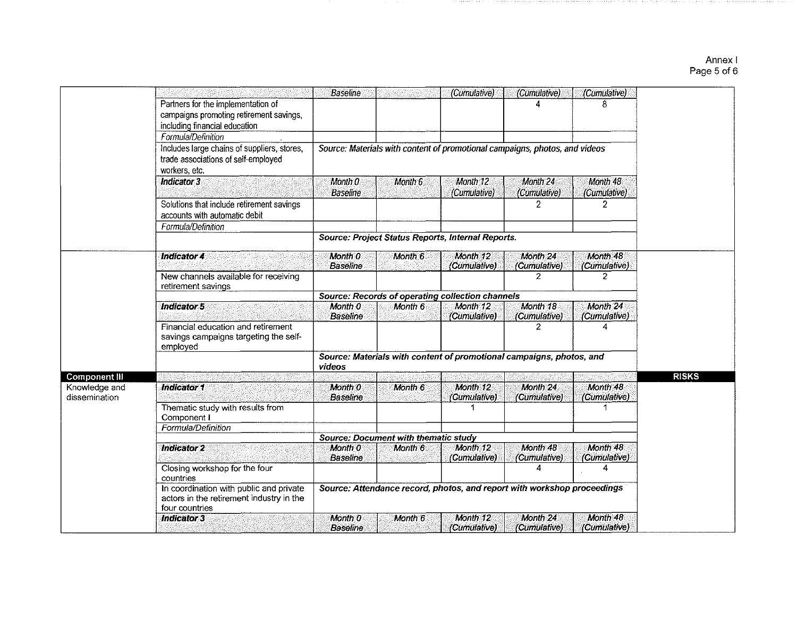# Annex I<br>Page 5 of 6

|               |                                             | <b>Baseline</b> |                                             | (Cumulative)                                                                | (Cumulative)                   | (Cumulative)                   |              |
|---------------|---------------------------------------------|-----------------|---------------------------------------------|-----------------------------------------------------------------------------|--------------------------------|--------------------------------|--------------|
|               | Partners for the implementation of          |                 |                                             |                                                                             |                                | 8                              |              |
|               | campaigns promoting retirement savings,     |                 |                                             |                                                                             |                                |                                |              |
|               | including financial education               |                 |                                             |                                                                             |                                |                                |              |
|               | Formula/Definition                          |                 |                                             |                                                                             |                                |                                |              |
|               | Includes large chains of suppliers, stores, |                 |                                             | Source: Materials with content of promotional campaigns, photos, and videos |                                |                                |              |
|               | trade associations of self-employed         |                 |                                             |                                                                             |                                |                                |              |
|               | workers, etc.                               |                 |                                             |                                                                             |                                |                                |              |
|               |                                             |                 |                                             |                                                                             |                                |                                |              |
|               | Indicator 3                                 | Month 0         | Month 6                                     | Month 12                                                                    | Month 24                       | Month 48                       |              |
|               |                                             | <b>Baseline</b> |                                             | (Cumulative)                                                                | (Cumulative)                   | (Cumulative)                   |              |
|               | Solutions that include retirement savings   |                 |                                             |                                                                             | 2                              | $\overline{2}$                 |              |
|               | accounts with automatic debit               |                 |                                             |                                                                             |                                |                                |              |
|               | Formula/Definition                          |                 |                                             |                                                                             |                                |                                |              |
|               |                                             |                 |                                             | Source: Project Status Reports, Internal Reports.                           |                                |                                |              |
|               |                                             |                 |                                             |                                                                             |                                |                                |              |
|               | <b>Indicator 4</b>                          | Month 0         | Month 6                                     | Month 12                                                                    | Month 24                       | Month 48                       |              |
|               |                                             | Baseline        |                                             | (Cumulative)                                                                | (Cumulative)<br>$\overline{2}$ | (Cumulative)<br>$\overline{2}$ |              |
|               | New channels available for receiving        |                 |                                             |                                                                             |                                |                                |              |
|               | retirement savings                          |                 |                                             | <b>Source: Records of operating collection channels</b>                     |                                |                                |              |
|               | Indicator 5                                 | Month 0         | Month 6                                     | Month 12                                                                    | Month 18                       | Month 24                       |              |
|               |                                             | <b>Baseline</b> |                                             | (Cumulative)                                                                | (Cumulative)                   | (Cumulative)                   |              |
|               | Financial education and retirement          |                 |                                             |                                                                             | 2                              | Δ                              |              |
|               | savings campaigns targeting the self-       |                 |                                             |                                                                             |                                |                                |              |
|               | employed                                    |                 |                                             |                                                                             |                                |                                |              |
|               |                                             |                 |                                             | Source: Materials with content of promotional campaigns, photos, and        |                                |                                |              |
|               |                                             | videos          |                                             |                                                                             |                                |                                |              |
| Component III |                                             |                 |                                             |                                                                             |                                |                                | <b>RISKS</b> |
| Knowledge and | Indicator 1                                 | Month 0         | Month 6                                     | Month 12                                                                    | Month 24                       | Month 48                       |              |
| dissemination |                                             | <b>Baseline</b> |                                             | (Cumulative)                                                                | (Cumulative)                   | (Cumulative)                   |              |
|               | Thematic study with results from            |                 |                                             | -1                                                                          |                                | 1                              |              |
|               | Component I                                 |                 |                                             |                                                                             |                                |                                |              |
|               | Formula/Definition                          |                 |                                             |                                                                             |                                |                                |              |
|               |                                             |                 | <b>Source: Document with thematic study</b> |                                                                             |                                |                                |              |
|               | <b>Indicator 2</b>                          | Month 0         | Month 6                                     | Month 12                                                                    | Month 48                       | Month 48                       |              |
|               |                                             | <b>Baseline</b> |                                             | (Cumulative)                                                                | (Cumulative)                   | (Cumulative)                   |              |
|               | Closing workshop for the four               |                 |                                             |                                                                             | 4                              | 4                              |              |
|               | countries                                   |                 |                                             |                                                                             |                                |                                |              |
|               | In coordination with public and private     |                 |                                             | Source: Attendance record, photos, and report with workshop proceedings     |                                |                                |              |
|               | actors in the retirement industry in the    |                 |                                             |                                                                             |                                |                                |              |
|               | four countries                              |                 |                                             |                                                                             |                                |                                |              |
|               | <b>Indicator 3</b>                          | Month 0         | Month 6                                     | Month 12                                                                    | Month 24                       | Month 48                       |              |
|               |                                             | <b>Baseline</b> |                                             | (Cumulative)                                                                | (Cumulative)                   | (Cumulative)                   |              |